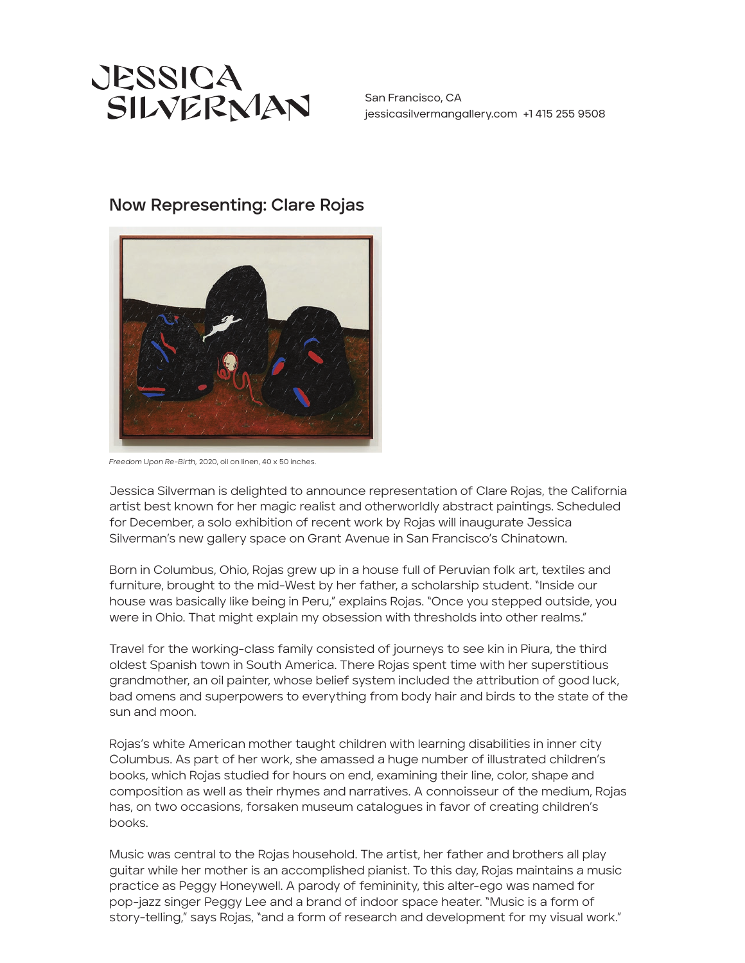

San Francisco, CA jessicasilvermangallery.com +1 415 255 9508

## Now Representing: Clare Rojas



*Freedom Upon Re-Birth,* 2020, oil on linen, 40 x 50 inches.

Jessica Silverman is delighted to announce representation of Clare Rojas, the California artist best known for her magic realist and otherworldly abstract paintings. Scheduled for December, a solo exhibition of recent work by Rojas will inaugurate Jessica Silverman's new gallery space on Grant Avenue in San Francisco's Chinatown.

Born in Columbus, Ohio, Rojas grew up in a house full of Peruvian folk art, textiles and furniture, brought to the mid-West by her father, a scholarship student. "Inside our house was basically like being in Peru," explains Rojas. "Once you stepped outside, you were in Ohio. That might explain my obsession with thresholds into other realms."

Travel for the working-class family consisted of journeys to see kin in Piura, the third oldest Spanish town in South America. There Rojas spent time with her superstitious grandmother, an oil painter, whose belief system included the attribution of good luck, bad omens and superpowers to everything from body hair and birds to the state of the sun and moon.

Rojas's white American mother taught children with learning disabilities in inner city Columbus. As part of her work, she amassed a huge number of illustrated children's books, which Rojas studied for hours on end, examining their line, color, shape and composition as well as their rhymes and narratives. A connoisseur of the medium, Rojas has, on two occasions, forsaken museum catalogues in favor of creating children's books.

Music was central to the Rojas household. The artist, her father and brothers all play guitar while her mother is an accomplished pianist. To this day, Rojas maintains a music practice as Peggy Honeywell. A parody of femininity, this alter-ego was named for pop-jazz singer Peggy Lee and a brand of indoor space heater. "Music is a form of story-telling," says Rojas, "and a form of research and development for my visual work."